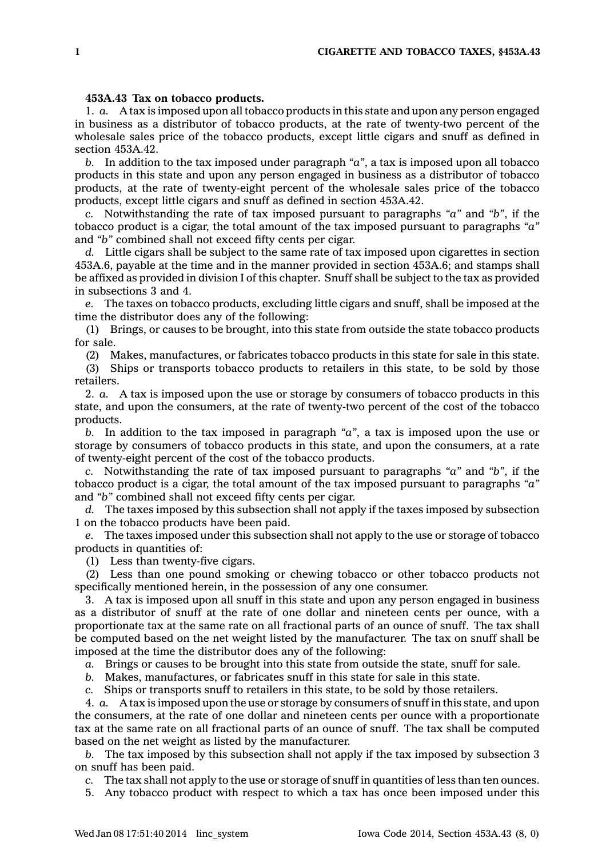## **453A.43 Tax on tobacco products.**

1. *a.* A tax is imposed upon all tobacco products in this state and upon any person engaged in business as <sup>a</sup> distributor of tobacco products, at the rate of twenty-two percent of the wholesale sales price of the tobacco products, except little cigars and snuff as defined in section 453A.42.

*b.* In addition to the tax imposed under paragraph *"a"*, <sup>a</sup> tax is imposed upon all tobacco products in this state and upon any person engaged in business as <sup>a</sup> distributor of tobacco products, at the rate of twenty-eight percent of the wholesale sales price of the tobacco products, except little cigars and snuff as defined in section 453A.42.

*c.* Notwithstanding the rate of tax imposed pursuant to paragraphs *"a"* and *"b"*, if the tobacco product is <sup>a</sup> cigar, the total amount of the tax imposed pursuant to paragraphs *"a"* and *"b"* combined shall not exceed fifty cents per cigar.

*d.* Little cigars shall be subject to the same rate of tax imposed upon cigarettes in section 453A.6, payable at the time and in the manner provided in section 453A.6; and stamps shall be affixed as provided in division I of this chapter. Snuff shall be subject to the tax as provided in subsections 3 and 4.

*e.* The taxes on tobacco products, excluding little cigars and snuff, shall be imposed at the time the distributor does any of the following:

(1) Brings, or causes to be brought, into this state from outside the state tobacco products for sale.

(2) Makes, manufactures, or fabricates tobacco products in this state for sale in this state.

(3) Ships or transports tobacco products to retailers in this state, to be sold by those retailers.

2. *a.* A tax is imposed upon the use or storage by consumers of tobacco products in this state, and upon the consumers, at the rate of twenty-two percent of the cost of the tobacco products.

*b.* In addition to the tax imposed in paragraph *"a"*, <sup>a</sup> tax is imposed upon the use or storage by consumers of tobacco products in this state, and upon the consumers, at <sup>a</sup> rate of twenty-eight percent of the cost of the tobacco products.

*c.* Notwithstanding the rate of tax imposed pursuant to paragraphs *"a"* and *"b"*, if the tobacco product is <sup>a</sup> cigar, the total amount of the tax imposed pursuant to paragraphs *"a"* and *"b"* combined shall not exceed fifty cents per cigar.

*d.* The taxes imposed by this subsection shall not apply if the taxes imposed by subsection 1 on the tobacco products have been paid.

*e.* The taxes imposed under this subsection shall not apply to the use or storage of tobacco products in quantities of:

(1) Less than twenty-five cigars.

(2) Less than one pound smoking or chewing tobacco or other tobacco products not specifically mentioned herein, in the possession of any one consumer.

3. A tax is imposed upon all snuff in this state and upon any person engaged in business as <sup>a</sup> distributor of snuff at the rate of one dollar and nineteen cents per ounce, with <sup>a</sup> proportionate tax at the same rate on all fractional parts of an ounce of snuff. The tax shall be computed based on the net weight listed by the manufacturer. The tax on snuff shall be imposed at the time the distributor does any of the following:

*a.* Brings or causes to be brought into this state from outside the state, snuff for sale.

*b.* Makes, manufactures, or fabricates snuff in this state for sale in this state.

*c.* Ships or transports snuff to retailers in this state, to be sold by those retailers.

4. *a.* A tax is imposed upon the use or storage by consumers of snuff in this state, and upon the consumers, at the rate of one dollar and nineteen cents per ounce with <sup>a</sup> proportionate tax at the same rate on all fractional parts of an ounce of snuff. The tax shall be computed based on the net weight as listed by the manufacturer.

*b.* The tax imposed by this subsection shall not apply if the tax imposed by subsection 3 on snuff has been paid.

*c.* The tax shall not apply to the use or storage of snuff in quantities of less than ten ounces.

5. Any tobacco product with respect to which <sup>a</sup> tax has once been imposed under this